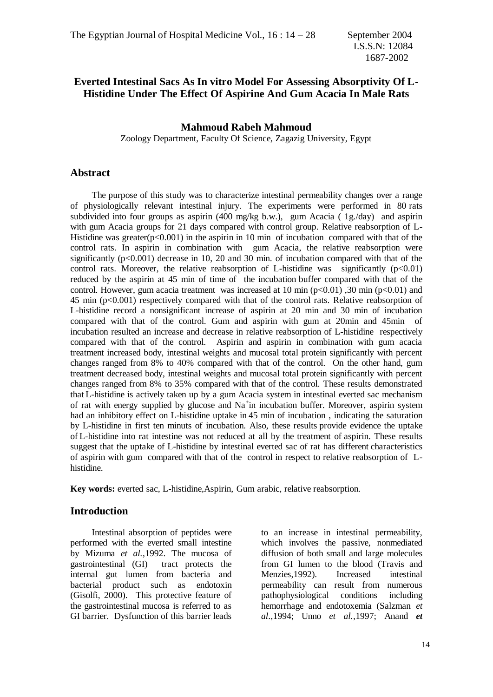# **Everted Intestinal Sacs As In vitro Model For Assessing Absorptivity Of L-Histidine Under The Effect Of Aspirine And Gum Acacia In Male Rats**

### **Mahmoud Rabeh Mahmoud**

Zoology Department, Faculty Of Science, Zagazig University, Egypt

### **Abstract**

 The purpose of this study was to characterize intestinal permeability changes over a range of physiologically relevant intestinal injury. The experiments were performed in 80 rats subdivided into four groups as aspirin (400 mg/kg b.w.), gum Acacia (1g./day) and aspirin with gum Acacia groups for 21 days compared with control group. Relative reabsorption of L-Histidine was greater( $p<0.001$ ) in the aspirin in 10 min of incubation compared with that of the control rats. In aspirin in combination with gum Acacia, the relative reabsorption were significantly  $(p<0.001)$  decrease in 10, 20 and 30 min. of incubation compared with that of the control rats. Moreover, the relative reabsorption of L-histidine was significantly  $(p<0.01)$ reduced by the aspirin at 45 min of time of the incubation buffer compared with that of the control. However, gum acacia treatment was increased at 10 min  $(p<0.01)$ , 30 min  $(p<0.01)$  and 45 min (p<0.001) respectively compared with that of the control rats. Relative reabsorption of L-histidine record a nonsignificant increase of aspirin at 20 min and 30 min of incubation compared with that of the control. Gum and aspirin with gum at 20min and 45min of incubation resulted an increase and decrease in relative reabsorption of L-histidine respectively compared with that of the control. Aspirin and aspirin in combination with gum acacia treatment increased body, intestinal weights and mucosal total protein significantly with percent changes ranged from 8% to 40% compared with that of the control. On the other hand, gum treatment decreased body, intestinal weights and mucosal total protein significantly with percent changes ranged from 8% to 35% compared with that of the control. These results demonstrated that L-histidine is actively taken up by a gum Acacia system in intestinal everted sac mechanism of rat with energy supplied by glucose and Na<sup>+</sup>in incubation buffer. Moreover, aspirin system had an inhibitory effect on L-histidine uptake in 45 min of incubation , indicating the saturation by L-histidine in first ten minuts of incubation. Also, these results provide evidence the uptake of L-histidine into rat intestine was not reduced at all by the treatment of aspirin. These results suggest that the uptake of L-histidine by intestinal everted sac of rat has different characteristics of aspirin with gum compared with that of the control in respect to relative reabsorption of Lhistidine.

**Key words:** everted sac, L-histidine,Aspirin, Gum arabic, relative reabsorption.

## **Introduction**

 Intestinal absorption of peptides were performed with the everted small intestine by Mizuma *et al.*,1992. The mucosa of gastrointestinal (GI) tract protects the internal gut lumen from bacteria and bacterial product such as endotoxin (Gisolfi, 2000). This protective feature of the gastrointestinal mucosa is referred to as GI barrier. Dysfunction of this barrier leads

to an increase in intestinal permeability, which involves the passive, nonmediated diffusion of both small and large molecules from GI lumen to the blood (Travis and Menzies,1992). Increased intestinal permeability can result from numerous pathophysiological conditions including hemorrhage and endotoxemia (Salzman *et al*.,1994; Unno *et al.,*1997; Anand *et*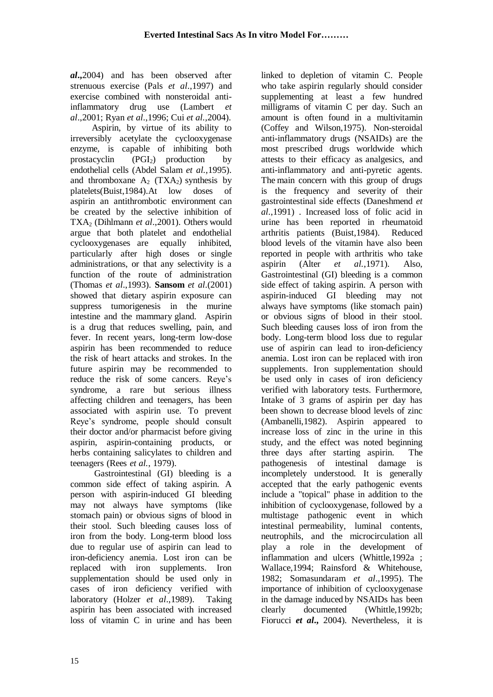*al***.,**2004) and has been observed after strenuous exercise (Pals *et al*.,1997) and exercise combined with nonsteroidal antiinflammatory drug use (Lambert *et al*.,2001; Ryan *et al*.,1996; Cui *et al.,*2004).

 Aspirin, by virtue of its ability to irreversibly acetylate the cyclooxygenase enzyme, is capable of inhibiting both prostacyclin  $(PGI<sub>2</sub>)$  production by endothelial cells (Abdel Salam *et al.,*1995). and thromboxane  $A_2$  (TXA<sub>2</sub>) synthesis by platelets(Buist,1984).At low doses of aspirin an antithrombotic environment can be created by the selective inhibition of TXA<sup>2</sup> (Dihlmann *et al*.,2001). Others would argue that both platelet and endothelial cyclooxygenases are equally inhibited, particularly after high doses or single administrations, or that any selectivity is a function of the route of administration (Thomas *et al*.,1993). **Sansom** *et al*.(2001) showed that dietary aspirin exposure can suppress tumorigenesis in the murine intestine and the mammary gland. Aspirin is a drug that reduces swelling, [pain,](http://www.healthwell.com/healthnotes/healthnotes.cfm?ContentID=1051005) and fever. In recent years, long-term low-dose aspirin has been recommended to reduce the risk of [heart attacks](http://www.healthwell.com/healthnotes/healthnotes.cfm?ContentID=1025008) and [strokes.](http://www.healthwell.com/healthnotes/healthnotes.cfm?ContentID=1277008) In the future aspirin may be recommended to reduce the risk of some [cancers.](http://www.healthwell.com/healthnotes/healthnotes.cfm?ContentID=1177000) Reye's syndrome, a rare but serious illness affecting children and teenagers, has been associated with aspirin use. To prevent Reye's syndrome, people should consult their doctor and/or pharmacist before giving aspirin, aspirin-containing products, or herbs containing salicylates to children and teenagers (Rees *et al.*, 1979).

 Gastrointestinal (GI) bleeding is a common side effect of taking aspirin. A person with aspirin-induced GI bleeding may not always have symptoms (like stomach pain) or obvious signs of blood in their stool. Such bleeding causes loss of iron from the body. Long-term blood loss due to regular use of aspirin can lead to [iron-deficiency anemia.](http://www.healthwell.com/healthnotes/healthnotes.cfm?ContentID=1225002) Lost iron can be replaced with iron supplements. Iron supplementation should be used only in cases of iron deficiency verified with laboratory (Holzer *et al*.,1989). Taking aspirin has been associated with increased loss of vitamin C in urine and has been

linked to depletion of vitamin C. People who take aspirin regularly should consider supplementing at least a few hundred milligrams of vitamin C per day. Such an amount is often found in a [multivitamin](http://www.healthwell.com/healthnotes/healthnotes.cfm?ContentID=2887001) (Coffey and Wilson,1975). Non-steroidal anti-inflammatory drugs (NSAIDs) are the most prescribed drugs worldwide which attests to their efficacy as analgesics, and anti-inflammatory and anti-pyretic agents. The main concern with this group of drugs is the frequency and severity of their gastrointestinal side effects (Daneshmend *et al*.,1991) . Increased loss of folic acid in urine has been reported in [rheumatoid](http://www.healthwell.com/healthnotes/healthnotes.cfm?ContentID=1257001)  [arthritis](http://www.healthwell.com/healthnotes/healthnotes.cfm?ContentID=1257001) patients (Buist,1984). Reduced blood levels of the vitamin have also been reported in people with arthritis who take aspirin (Alter *et al.*,1971). Also, Gastrointestinal (GI) bleeding is a common side effect of taking aspirin. A person with aspirin-induced GI bleeding may not always have symptoms (like stomach pain) or obvious signs of blood in their stool. Such bleeding causes loss of iron from the body. Long-term blood loss due to regular use of aspirin can lead to [iron-deficiency](http://www.healthwell.com/healthnotes/healthnotes.cfm?ContentID=1225002)  [anemia.](http://www.healthwell.com/healthnotes/healthnotes.cfm?ContentID=1225002) Lost iron can be replaced with iron supplements. Iron supplementation should be used only in cases of iron deficiency verified with laboratory tests. Furthermore, Intake of 3 grams of aspirin per day has been shown to decrease blood levels of zinc (Ambanelli,1982). Aspirin appeared to increase loss of zinc in the urine in this study, and the effect was noted beginning three days after starting aspirin. The pathogenesis of intestinal damage is incompletely understood. It is generally accepted that the early pathogenic events include a "topical" phase in addition to the inhibition of cyclooxygenase, followed by a multistage pathogenic event in which intestinal permeability, luminal contents, neutrophils, and the microcirculation all play a role in the development of inflammation and ulcers (Whittle,1992a ; Wallace,1994; Rainsford & Whitehouse, 1982; Somasundaram *et al*.,1995). The importance of inhibition of cyclooxygenase in the damage induced by NSAIDs has been clearly documented (Whittle,1992b; Fiorucci *et al***.,** 2004). Nevertheless, it is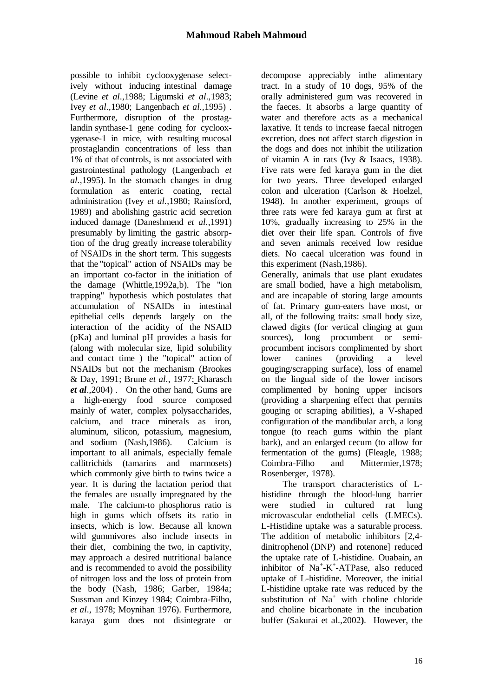possible to inhibit cyclooxygenase selectively without inducing intestinal damage (Levine *et al*.,1988; Ligumski *et al*.,1983; Ivey *et al*.,1980; Langenbach *et al.,*1995) . Furthermore, disruption of the prostaglandin synthase-1 gene coding for cyclooxygenase-1 in mice, with resulting mucosal prostaglandin concentrations of less than 1% of that of controls, is not associated with gastrointestinal pathology (Langenbach *et al.,*1995). In the stomach changes in drug formulation as enteric coating, rectal administration (Ivey *et al.*,1980; Rainsford, 1989) and abolishing gastric acid secretion induced damage (Daneshmend *et al*.,1991) presumably by limiting the gastric absorption of the drug greatly increase tolerability of NSAIDs in the short term. This suggests that the "topical" action of NSAIDs may be an important co-factor in the initiation of the damage (Whittle,1992a,b). The "ion trapping" hypothesis which postulates that accumulation of NSAIDs in intestinal epithelial cells depends largely on the interaction of the acidity of the NSAID (pKa) and luminal pH provides a basis for (along with molecular size, lipid solubility and contact time ) the "topical" action of NSAIDs but not the mechanism (Brookes & Day, 1991; Brune *et al*., 1977; Kharasch *et al*.,2004) . On the other hand, Gums are a high-energy food source composed mainly of water, complex polysaccharides, calcium, and trace minerals as iron, aluminum, silicon, potassium, magnesium, and sodium (Nash,1986). Calcium is important to all animals, especially female callitrichids (tamarins and marmosets) which commonly give birth to twins twice a year. It is during the lactation period that the females are usually impregnated by the male. The calcium-to phosphorus ratio is high in gums which offsets its ratio in insects, which is low. Because all known wild gummivores also include insects in their diet, combining the two, in captivity, may approach a desired nutritional balance and is recommended to avoid the possibility of nitrogen loss and the loss of protein from the body (Nash, 1986; Garber, 1984a; Sussman and Kinzey 1984; Coimbra-Filho, *et al*., 1978; Moynihan 1976). Furthermore, karaya gum does not disintegrate or

decompose appreciably inthe alimentary tract. In a study of 10 dogs, 95% of the orally administered gum was recovered in the faeces. It absorbs a large quantity of water and therefore acts as a mechanical laxative. It tends to increase faecal nitrogen excretion, does not affect starch digestion in the dogs and does not inhibit the utilization of vitamin A in rats (Ivy & Isaacs, 1938). Five rats were fed karaya gum in the diet for two years. Three developed enlarged colon and ulceration (Carlson & Hoelzel, 1948). In another experiment, groups of three rats were fed karaya gum at first at 10%, gradually increasing to 25% in the diet over their life span. Controls of five and seven animals received low residue diets. No caecal ulceration was found in this experiment (Nash,1986).

Generally, animals that use plant exudates are small bodied, have a high metabolism, and are incapable of storing large amounts of fat. Primary gum-eaters have most, or all, of the following traits: small body size, clawed digits (for vertical clinging at gum sources), long procumbent or semiprocumbent incisors complimented by short lower canines (providing a level gouging/scrapping surface), loss of enamel on the lingual side of the lower incisors complimented by honing upper incisors (providing a sharpening effect that permits gouging or scraping abilities), a V-shaped configuration of the mandibular arch, a long tongue (to reach gums within the plant bark), and an enlarged cecum (to allow for fermentation of the gums) (Fleagle, 1988; Coimbra-Filho and Mittermier,1978; Rosenberger, 1978).

 The transport characteristics of Lhistidine through the blood-lung barrier were studied in cultured rat lung microvascular endothelial cells (LMECs). L-Histidine uptake was a saturable process. The addition of metabolic inhibitors [2,4 dinitrophenol (DNP) and rotenone] reduced the uptake rate of L-histidine. Ouabain, an inhibitor of Na<sup>+</sup>-K<sup>+</sup>-ATPase, also reduced uptake of L-histidine. Moreover, the initial L-histidine uptake rate was reduced by the substitution of Na<sup>+</sup> with choline chloride and choline bicarbonate in the incubation buffer (Sakurai et al.,2002**)**. However, the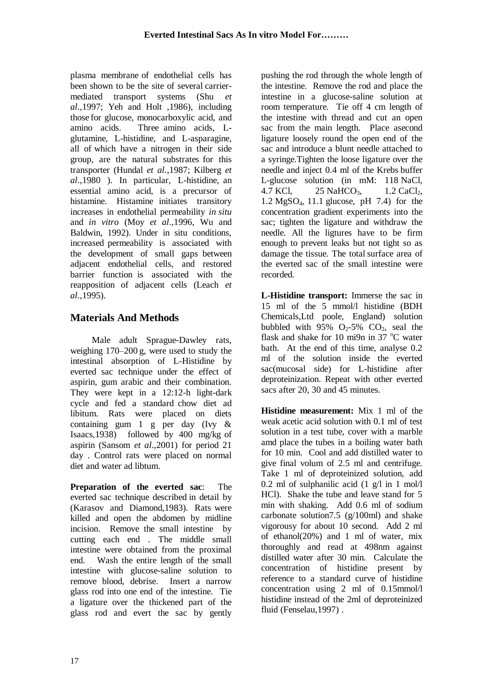plasma membrane of endothelial cells has been shown to be the site of several carriermediated transport systems (Shu *et al*.,1997; Yeh and Holt ,1986), including those for glucose, monocarboxylic acid, and amino acids. Three amino acids, Lglutamine, L-histidine, and L-asparagine, all of which have a nitrogen in their side group, are the natural substrates for this transporter (Hundal *et al.,*1987; Kilberg *et al*.,1980 ). In particular, L-histidine, an essential amino acid, is a precursor of histamine. Histamine initiates transitory increases in endothelial permeability *in situ* and *in vitro* (Moy *et al*.,1996, Wu and Baldwin, 1992). Under in situ conditions, increased permeability is associated with the development of small gaps between adjacent endothelial cells, and restored barrier function is associated with the reapposition of adjacent cells (Leach *et al.*,1995).

# **Materials And Methods**

 Male adult Sprague-Dawley rats, weighing 170–200 g, were used to study the intestinal absorption of L-Histidine by everted sac technique under the effect of aspirin, gum arabic and their combination. They were kept in a 12:12-h light-dark cycle and fed a standard chow diet ad libitum. Rats were placed on diets containing gum 1 g per day (Ivy & Isaacs,1938) followed by 400 mg/kg of aspirin (Sansom *et al*.,2001) for period 21 day . Control rats were placed on normal diet and water ad libtum.

**Preparation of the everted sac**: The everted sac technique described in detail by (Karasov and Diamond,1983). Rats were killed and open the abdomen by midline incision. Remove the small intestine by cutting each end . The middle small intestine were obtained from the proximal end. Wash the entire length of the small intestine with glucose-saline solution to remove blood, debrise. Insert a narrow glass rod into one end of the intestine. Tie a ligature over the thickened part of the glass rod and evert the sac by gently

pushing the rod through the whole length of the intestine. Remove the rod and place the intestine in a glucose-saline solution at room temperature. Tie off 4 cm length of the intestine with thread and cut an open sac from the main length. Place asecond ligature loosely round the open end of the sac and introduce a blunt needle attached to a syringe.Tighten the loose ligature over the needle and inject 0.4 ml of the Krebs buffer L-glucose solution (in mM: 118 NaCl, 4.7 KCl, 25 NaHCO<sub>3</sub>, 1.2 CaCl<sub>2</sub>, 1.2 MgSO4, 11.1 glucose, pH 7.4) for the concentration gradient experiments into the sac; tighten the ligature and withdraw the needle. All the ligtures have to be firm enough to prevent leaks but not tight so as damage the tissue. The total surface area of the everted sac of the small intestine were recorded.

**L-Histidine transport:** Immerse the sac in 15 ml of the 5 mmol/l histidine (BDH Chemicals,Ltd poole, England) solution bubbled with  $95\%$  O<sub>2</sub>-5% CO<sub>2</sub>, seal the flask and shake for 10 mi9n in 37  $^{\circ}$ C water bath. At the end of this time, analyse 0.2 ml of the solution inside the everted sac(mucosal side) for L-histidine after deproteinization. Repeat with other everted sacs after 20, 30 and 45 minutes.

**Histidine measurement:** Mix 1 ml of the weak acetic acid solution with 0.1 ml of test solution in a test tube, cover with a marble amd place the tubes in a boiling water bath for 10 min. Cool and add distilled water to give final volum of 2.5 ml and centrifuge. Take 1 ml of deproteinized solution, add 0.2 ml of sulphanilic acid  $(1 \text{ g}/\text{l} \text{ in } 1 \text{ mol}/\text{l})$ HCl). Shake the tube and leave stand for 5 min with shaking. Add 0.6 ml of sodium carbonate solution 7.5 ( $g/100$ ml) and shake vigorousy for about 10 second. Add 2 ml of ethanol(20%) and 1 ml of water, mix thoroughly and read at 498nm against distilled water after 30 min. Calculate the concentration of histidine present by reference to a standard curve of histidine concentration using 2 ml of 0.15mmol/l histidine instead of the 2ml of deproteinized fluid (Fenselau,1997) .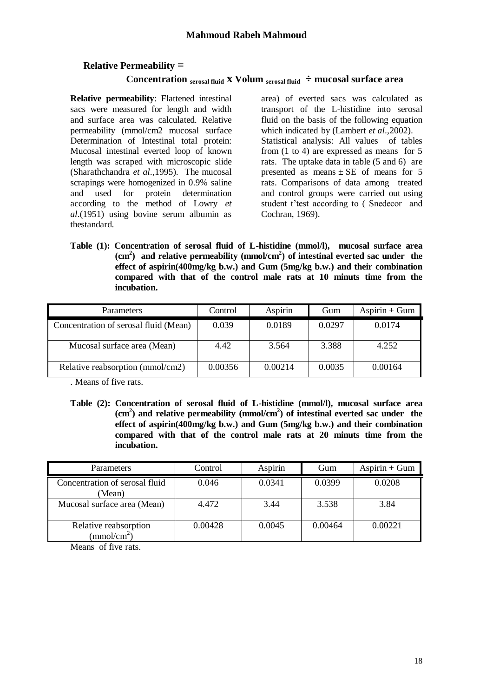## **Relative Permeability =**

### **Concentration**  $\frac{1}{2}$  **x Volum**  $\frac{1}{2}$  **mucosal surface area**

**Relative permeability**: Flattened intestinal sacs were measured for length and width and surface area was calculated. Relative permeability (mmol/cm2 mucosal surface Determination of Intestinal total protein: Mucosal intestinal everted loop of known length was scraped with microscopic slide (Sharathchandra *et al*.,1995). The mucosal scrapings were homogenized in 0.9% saline and used for protein determination according to the method of Lowry *et al*.(1951) using bovine serum albumin as thestandard.

area) of everted sacs was calculated as transport of the L-histidine into serosal fluid on the basis of the following equation which indicated by (Lambert *et al*.,2002). Statistical analysis: All values of tables from (1 to 4) are expressed as means for 5 rats. The uptake data in table (5 and 6) are presented as means  $\pm$  SE of means for 5 rats. Comparisons of data among treated and control groups were carried out using student t'test according to ( Snedecor and Cochran, 1969).

**Table (1): Concentration of serosal fluid of L-histidine (mmol/l), mucosal surface area (cm<sup>2</sup> ) and relative permeability (mmol/cm<sup>2</sup> ) of intestinal everted sac under the effect of aspirin(400mg/kg b.w.) and Gum (5mg/kg b.w.) and their combination compared with that of the control male rats at 10 minuts time from the incubation.** 

| <b>Parameters</b>                     | Control | Aspirin | Gum    | $Aspirin + Gum$ |
|---------------------------------------|---------|---------|--------|-----------------|
| Concentration of serosal fluid (Mean) | 0.039   | 0.0189  | 0.0297 | 0.0174          |
| Mucosal surface area (Mean)           | 4.42    | 3.564   | 3.388  | 4.252           |
| Relative reabsorption (mmol/cm2)      | 0.00356 | 0.00214 | 0.0035 | 0.00164         |

. Means of five rats.

**Table (2): Concentration of serosal fluid of L-histidine (mmol/l), mucosal surface area (cm<sup>2</sup> ) and relative permeability (mmol/cm<sup>2</sup> ) of intestinal everted sac under the effect of aspirin(400mg/kg b.w.) and Gum (5mg/kg b.w.) and their combination compared with that of the control male rats at 20 minuts time from the incubation.** 

| Parameters                                    | Control | Aspirin | Gum     | $Aspirin + Gum$ |
|-----------------------------------------------|---------|---------|---------|-----------------|
| Concentration of serosal fluid<br>(Mean)      | 0.046   | 0.0341  | 0.0399  | 0.0208          |
| Mucosal surface area (Mean)                   | 4.472   | 3.44    | 3.538   | 3.84            |
| Relative reabsorption<br>$\text{(mmol/cm}^2)$ | 0.00428 | 0.0045  | 0.00464 | 0.00221         |

Means of five rats.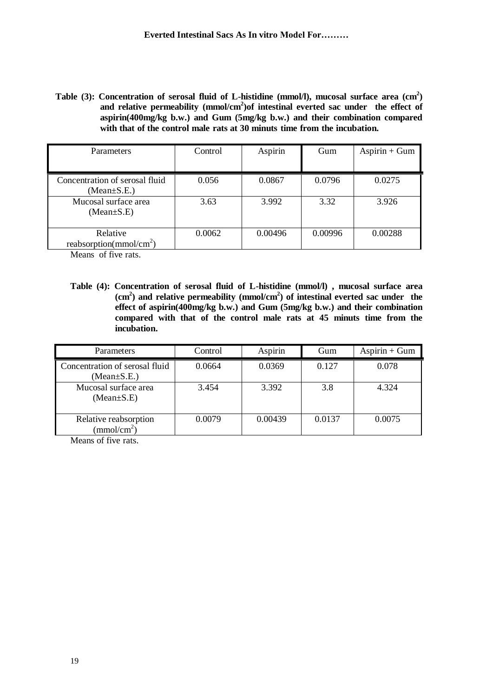**Table (3): Concentration of serosal fluid of L-histidine (mmol/l), mucosal surface area (cm<sup>2</sup> ) and relative permeability (mmol/cm<sup>2</sup> )of intestinal everted sac under the effect of aspirin(400mg/kg b.w.) and Gum (5mg/kg b.w.) and their combination compared with that of the control male rats at 30 minuts time from the incubation.** 

| <b>Parameters</b>                                   | Control | Aspirin | Gum     | $Aspirin + Gum$ |
|-----------------------------------------------------|---------|---------|---------|-----------------|
| Concentration of serosal fluid<br>$(Mean \pm S.E.)$ | 0.056   | 0.0867  | 0.0796  | 0.0275          |
| Mucosal surface area<br>$(Mean \pm S.E)$            | 3.63    | 3.992   | 3.32    | 3.926           |
| Relative<br>reabsorption( $mmol/cm2$ )              | 0.0062  | 0.00496 | 0.00996 | 0.00288         |

Means of five rats.

**Table (4): Concentration of serosal fluid of L-histidine (mmol/l) , mucosal surface area (cm<sup>2</sup> ) and relative permeability (mmol/cm<sup>2</sup> ) of intestinal everted sac under the effect of aspirin(400mg/kg b.w.) and Gum (5mg/kg b.w.) and their combination compared with that of the control male rats at 45 minuts time from the incubation.**

| Parameters                                          | Control | Aspirin | Gum    | $Aspirin + Gum$ |
|-----------------------------------------------------|---------|---------|--------|-----------------|
| Concentration of serosal fluid<br>$(Mean \pm S.E.)$ | 0.0664  | 0.0369  | 0.127  | 0.078           |
| Mucosal surface area<br>$(Mean \pm S.E)$            | 3.454   | 3.392   | 3.8    | 4.324           |
| Relative reabsorption<br>$\text{(mmol/cm}^2)$       | 0.0079  | 0.00439 | 0.0137 | 0.0075          |

Means of five rats.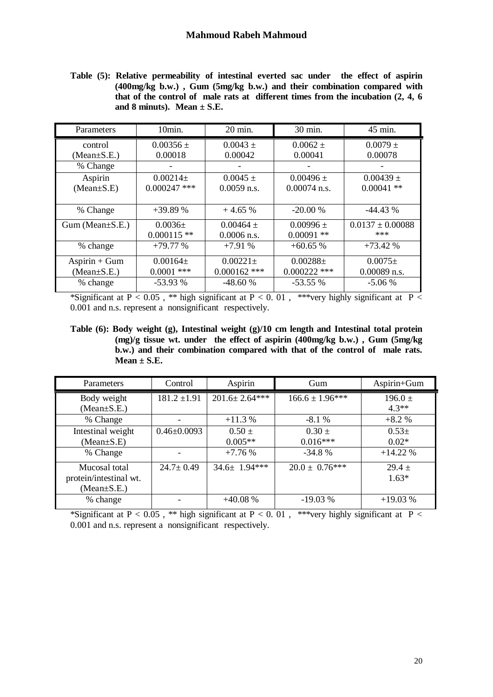**Table (5): Relative permeability of intestinal everted sac under the effect of aspirin (400mg/kg b.w.) , Gum (5mg/kg b.w.) and their combination compared with that of the control of male rats at different times from the incubation (2, 4, 6**  and 8 minuts). Mean  $\pm$  S.E.

| Parameters              | 10min.         | 20 min.        | 30 min.        | 45 min.              |
|-------------------------|----------------|----------------|----------------|----------------------|
| control                 | $0.00356 \pm$  | $0.0043 \pm$   | $0.0062 \pm$   | $0.0079 \pm$         |
| $(Mean \pm S.E.)$       | 0.00018        | 0.00042        | 0.00041        | 0.00078              |
| % Change                |                |                |                |                      |
| Aspirin                 | $0.00214\pm$   | $0.0045 \pm$   | $0.00496 \pm$  | $0.00439 \pm$        |
| $(Mean \pm S.E)$        | $0.000247$ *** | $0.0059$ n.s.  | $0.00074$ n.s. | $0.00041$ **         |
|                         |                |                |                |                      |
| % Change                | $+39.89%$      | $+4.65%$       | $-20.00%$      | $-44.43%$            |
| $Gum$ (Mean $\pm$ S.E.) | $0.0036\pm$    | $0.00464 \pm$  | $0.00996 \pm$  | $0.0137 \pm 0.00088$ |
|                         | $0.000115$ **  | $0.0006$ n.s.  | $0.00091$ **   | ***                  |
| % change                | $+79.77%$      | $+7.91%$       | $+60.65%$      | $+73.42%$            |
| $Aspirin + Gum$         | $0.00164\pm$   | $0.00221 \pm$  | $0.00288 \pm$  | $0.0075\pm$          |
| $(Mean \pm S.E.)$       | $0.0001$ ***   | $0.000162$ *** | $0.000222$ *** | $0.00089$ n.s.       |
| % change                | $-53.93%$      | $-48.60%$      | $-53.55%$      | $-5.06%$             |

\*Significant at  $P < 0.05$ , \*\* high significant at  $P < 0.01$ , \*\*\*very highly significant at  $P <$ 0.001 and n.s. represent a nonsignificant respectively.

**Table (6): Body weight (g), Intestinal weight (g)/10 cm length and Intestinal total protein (mg)/g tissue wt. under the effect of aspirin (400mg/kg b.w.) , Gum (5mg/kg b.w.) and their combination compared with that of the control of male rats. Mean ± S.E.**

| Parameters             | Control           | Aspirin             | Gum                 | Aspirin+Gum |
|------------------------|-------------------|---------------------|---------------------|-------------|
| Body weight            | $181.2 \pm 1.91$  | $201.6 \pm 2.64***$ | $166.6 \pm 1.96***$ | $196.0 \pm$ |
| $(Mean \pm S.E.)$      |                   |                     |                     | $4.3**$     |
| % Change               |                   | $+11.3%$            | $-8.1%$             | $+8.2%$     |
| Intestinal weight      | $0.46 \pm 0.0093$ | $0.50 \pm$          | $0.30 \pm$          | $0.53\pm$   |
| $(Mean \pm S.E)$       |                   | $0.005**$           | $0.016***$          | $0.02*$     |
| % Change               |                   | $+7.76%$            | $-34.8%$            | $+14.22%$   |
| Mucosal total          | $24.7 \pm 0.49$   | $34.6 \pm 1.94***$  | $20.0 \pm 0.76***$  | $29.4 +$    |
| protein/intestinal wt. |                   |                     |                     | $1.63*$     |
| $(Mean \pm S.E.)$      |                   |                     |                     |             |
| % change               |                   | $+40.08%$           | $-19.03%$           | $+19.03%$   |

\*Significant at P < 0.05, \*\* high significant at P < 0.01, \*\*\*very highly significant at P < 0.001 and n.s. represent a nonsignificant respectively.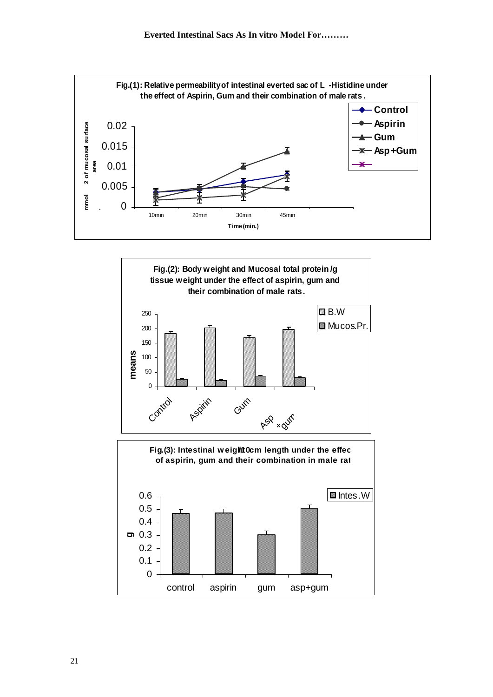



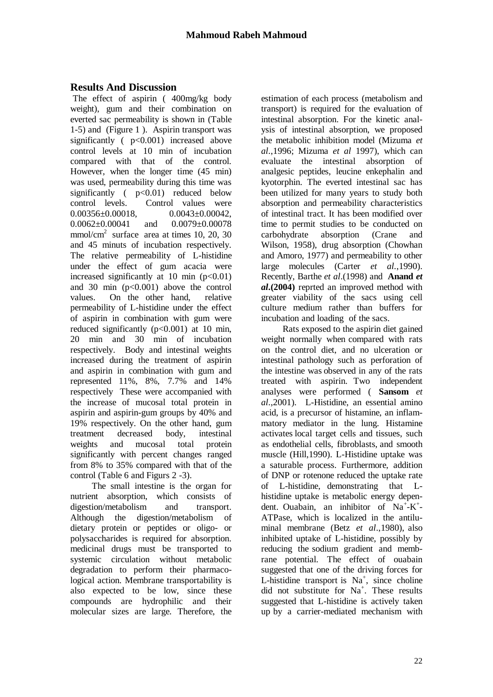## **Results And Discussion**

The effect of aspirin ( 400mg/kg body weight), gum and their combination on everted sac permeability is shown in (Table 1-5) and (Figure 1 ). Aspirin transport was significantly ( p<0.001) increased above control levels at 10 min of incubation compared with that of the control. However, when the longer time (45 min) was used, permeability during this time was significantly  $( p< 0.01)$  reduced below control levels. Control values were  $0.00356 \pm 0.00018$ ,  $0.0043 \pm 0.00042$ ,  $0.0062 \pm 0.00041$  and  $0.0079 \pm 0.00078$ mmol/cm<sup>2</sup> surface area at times 10, 20, 30 and 45 minuts of incubation respectively. The relative permeability of L-histidine under the effect of gum acacia were increased significantly at 10 min  $(p<0.01)$ and 30 min  $(p<0.001)$  above the control values. On the other hand, relative permeability of L-histidine under the effect of aspirin in combination with gum were reduced significantly  $(p<0.001)$  at 10 min, 20 min and 30 min of incubation respectively. Body and intestinal weights increased during the treatment of aspirin and aspirin in combination with gum and represented 11%, 8%, 7.7% and 14% respectively These were accompanied with the increase of mucosal total protein in aspirin and aspirin-gum groups by 40% and 19% respectively. On the other hand, gum treatment decreased body, intestinal weights and mucosal total protein significantly with percent changes ranged from 8% to 35% compared with that of the control (Table 6 and Figurs 2 -3).

 The small intestine is the organ for nutrient absorption, which consists of digestion/metabolism and transport. Although the digestion/metabolism of dietary protein or peptides or oligo- or polysaccharides is required for absorption. medicinal drugs must be transported to systemic circulation without metabolic degradation to perform their pharmacological action. Membrane transportability is also expected to be low, since these compounds are hydrophilic and their molecular sizes are large. Therefore, the

estimation of each process (metabolism and transport) is required for the evaluation of intestinal absorption. For the kinetic analysis of intestinal absorption, we proposed the metabolic inhibition model (Mizuma *et al*.,1996; Mizuma *et al* 1997), which can evaluate the intestinal absorption of analgesic peptides, leucine enkephalin and kyotorphin. The everted intestinal sac has been utilized for many years to study both absorption and permeability characteristics of intestinal tract. It has been modified over time to permit studies to be conducted on carbohydrate absorption (Crane and Wilson, 1958), drug absorption (Chowhan and Amoro, 1977) and permeability to other large molecules (Carter *et al.*,1990). Recently, Barthe *et al*.(1998) and **Anand** *et al***.(2004)** reprted an improved method with greater viability of the sacs using cell culture medium rather than buffers for incubation and loading of the sacs.

 Rats exposed to the aspirin diet gained weight normally when compared with rats on the control diet, and no ulceration or intestinal pathology such as perforation of the intestine was observed in any of the rats treated with aspirin. Two independent analyses were performed ( **Sansom** *et al*.,2001). L-Histidine, an essential amino acid, is a precursor of histamine, an inflammatory mediator in the lung. Histamine activates local target cells and tissues, such as endothelial cells, fibroblasts, and smooth muscle (Hill,1990). L-Histidine uptake was a saturable process. Furthermore, addition of DNP or rotenone reduced the uptake rate of L-histidine, demonstrating that Lhistidine uptake is metabolic energy dependent. Ouabain, an inhibitor of Na<sup>+</sup>-K<sup>+</sup>-ATPase, which is localized in the antiluminal membrane (Betz *et al*.,1980), also inhibited uptake of L-histidine, possibly by reducing the sodium gradient and membrane potential. The effect of ouabain suggested that one of the driving forces for L-histidine transport is  $Na^+$ , since choline did not substitute for Na<sup>+</sup>. These results suggested that L-histidine is actively taken up by a carrier-mediated mechanism with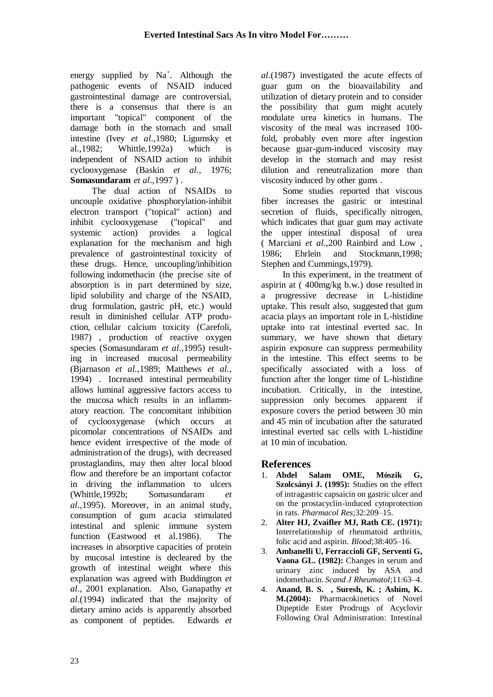energy supplied by  $Na^+$ . Although the pathogenic events of NSAID induced gastrointestinal damage are controversial, there is a consensus that there is an important "topical" component of the damage both in the stomach and small intestine (Ivey *et al*.,1980; Ligumsky et al.,1982; Whittle,1992a) which is independent of NSAID action to inhibit cyclooxygenase (Baskin *et al.,* 1976; **Somasundaram** *et al*.,1997 ) .

 The dual action of NSAIDs to uncouple oxidative phosphorylation-inhibit electron transport ("topical" action) and inhibit cyclooxygenase ("topical" and systemic action) provides a logical explanation for the mechanism and high prevalence of gastrointestinal toxicity of these drugs. Hence, uncoupling/inhibition following indomethacin (the precise site of absorption is in part determined by size, lipid solubility and charge of the NSAID, drug formulation, gastric pH, etc.) would result in diminished cellular ATP production, cellular calcium toxicity (Carefoli, 1987) , production of reactive oxygen species (Somasundaram *et al*.,1995) resulting in increased mucosal permeability (Bjarnason *et al.,*1989; Matthews *et al.,* 1994) . Increased intestinal permeability allows luminal aggressive factors access to the mucosa which results in an inflammatory reaction. The concomitant inhibition of cyclooxygenase (which occurs at picomolar concentrations of NSAIDs and hence evident irrespective of the mode of administration of the drugs), with decreased prostaglandins, may then alter local blood flow and therefore be an important cofactor in driving the inflammation to ulcers (Whittle,1992b; Somasundaram *et al*.,1995). Moreover, in an animal study, consumption of gum acacia stimulated intestinal and splenic immune system function (Eastwood et al.1986). The increases in absorptive capacities of protein by mucosal intestine is decleared by the growth of intestinal weight where this explanation was agreed with Buddington *et al*., 2001 explanation. Also, Ganapathy *et al*.(1994) indicated that the majority of dietary amino acids is apparently absorbed as component of peptides. Edwards *et* 

*al*.(1987) investigated the acute effects of guar gum on the bioavailability and utilization of dietary protein and to consider the possibility that gum might acutely modulate urea kinetics in humans. The viscosity of the meal was increased 100 fold, probably even more after ingestion because guar-gum-induced viscosity may develop in the stomach and may resist dilution and reneutralization more than viscosity induced by other gums .

 Some studies reported that viscous fiber increases the gastric or intestinal secretion of fluids, specifically nitrogen, which indicates that guar gum may activate the upper intestinal disposal of urea ( Marciani *et al*.,200 Rainbird and Low , 1986; Ehrlein and Stockmann,1998; Stephen and Cummings,1979).

 In this experiment, in the treatment of aspirin at ( 400mg/kg b.w.) dose resulted in a progressive decrease in L-histidine uptake. This result also, suggested that gum acacia plays an important role in L-histidine uptake into rat intestinal everted sac. In summary, we have shown that dietary aspirin exposure can suppress permeability in the intestine. This effect seems to be specifically associated with a loss of function after the longer time of L-histidine incubation. Critically, in the intestine, suppression only becomes apparent if exposure covers the period between 30 min and 45 min of incubation after the saturated intestinal everted sac cells with L-histidine at 10 min of incubation.

# **References**

- 1. **Abdel Salam OME, Mószik G, Szolcsányi J. (1995):** Studies on the effect of intragastric capsaicin on gastric ulcer and on the prostacyclin-induced cytoprotection in rats. *Pharmacol Res*;32:209–15.
- 2. **Alter HJ, Zvaifler MJ, Rath CE. (1971):** Interrelationship of rheumatoid arthritis, folic acid and aspirin. *Blood*;38:405–16.
- 3. **Ambanelli U, Ferraccioli GF, Serventi G, Vaona GL. (1982):** Changes in serum and urinary zinc induced by ASA and indomethacin. *Scand J Rheumatol*;11:63–4.
- 4. **Anand, B. S. , Suresh, K. ; Ashim, K. M.(2004):** Pharmacokinetics of Novel Dipeptide Ester Prodrugs of Acyclovir Following Oral Administration: Intestinal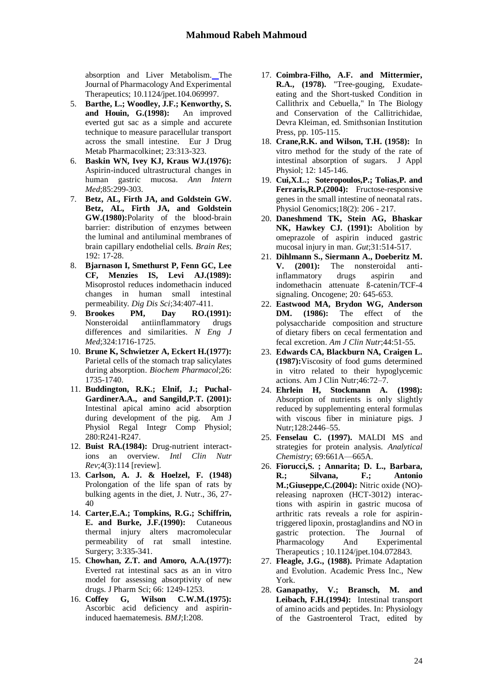absorption and Liver Metabolism. The Journal of Pharmacology And Experimental Therapeutics; 10.1124/jpet.104.069997.

- 5. **Barthe, L.; Woodley, J.F.; Kenworthy, S. and Houin, G.(1998):** An improved everted gut sac as a simple and accurete technique to measure paracellular transport across the small intestine. Eur J Drug Metab Pharmacolkinet; 23:313-323.
- 6. **Baskin WN, Ivey KJ, Kraus WJ.(1976):**  Aspirin-induced ultrastructural changes in human gastric mucosa. *Ann Intern Med*;85:299-303.
- 7. **Betz, AL, Firth JA, and Goldstein GW. Betz, AL, Firth JA, and Goldstein GW.(1980):**Polarity of the blood-brain barrier: distribution of enzymes between the luminal and antiluminal membranes of brain capillary endothelial cells. *Brain Res*; 192: 17-28.
- 8. **Bjarnason I, Smethurst P, Fenn GC, Lee CF, Menzies IS, Levi AJ.(1989):**  Misoprostol reduces indomethacin induced changes in human small intestinal permeability. *Dig Dis Sci*;34:407-411.
- 9. **Brookes PM, Day RO.(1991):** Nonsteroidal antiinflammatory drugs differences and similarities. *N Eng J Med*;324:1716-1725.
- 10. **Brune K, Schwietzer A, Eckert H.(1977):** Parietal cells of the stomach trap salicylates during absorption. *Biochem Pharmacol*;26: 1735-1740.
- 11. **Buddington, R.K.; Elnif, J.; Puchal-GardinerA.A., and Sangild,P.T. (2001):**  Intestinal apical amino acid absorption during development of the pig. Am J Physiol Regal Integr Comp Physiol; 280:R241-R247.
- 12. **Buist RA.(1984):** Drug-nutrient interactions an overview. *Intl Clin Nutr Rev*;4(3):114 [review].
- 13. **Carlson, A. J. & Hoelzel, F. (1948)** Prolongation of the life span of rats by bulking agents in the diet, J. Nutr., 36, 27- 40
- 14. **Carter,E.A.; Tompkins, R.G.; Schiffrin, E. and Burke, J.F.(1990):** Cutaneous thermal injury alters macromolecular permeability of rat small intestine. Surgery; 3:335-341.
- 15. **Chowhan, Z.T. and Amoro, A.A.(1977):** Everted rat intestinal sacs as an in vitro model for assessing absorptivity of new drugs. J Pharm Sci; 66: 1249-1253.
- 16. **Coffey G, Wilson C.W.M.(1975):** Ascorbic acid deficiency and aspirininduced haematemesis. *BMJ*;I:208.
- 17. **Coimbra-Filho, A.F. and Mittermier, R.A., (1978).** "Tree-gouging, Exudateeating and the Short-tusked Condition in Callithrix and Cebuella," In The Biology and Conservation of the Callitrichidae, Devra Kleiman, ed. Smithsonian Institution Press, pp. 105-115.
- 18. **Crane,R.K. and Wilson, T.H. (1958):** In vitro method for the study of the rate of intestinal absorption of sugars. J Appl Physiol; 12: 145-146.
- 19. **Cui,X.L.; Soteropoulos,P.; Tolias,P. and Ferraris,R.P.(2004):** Fructose-responsive genes in the small intestine of neonatal rats. Physiol Genomics;18(2): 206 - 217.
- 20. **Daneshmend TK, Stein AG, Bhaskar NK, Hawkey CJ. (1991):** Abolition by omeprazole of aspirin induced gastric mucosal injury in man. *Gut*;31:514-517.
- 21. **Dihlmann S., Siermann A., Doeberitz M. V. (2001):** The nonsteroidal antiinflammatory drugs aspirin and indomethacin attenuate ß-catenin/TCF-4 signaling. Oncogene; 20*:* 645-653.
- 22. **Eastwood MA, Brydon WG, Anderson DM. (1986):** The effect of the polysaccharide composition and structure of dietary fibers on cecal fermentation and fecal excretion. *Am J Clin Nutr*;44:51-55.
- 23. **Edwards CA, Blackburn NA, Craigen L. (1987):**Viscosity of food gums determined in vitro related to their hypoglycemic actions. Am J Clin Nutr;46:72–7.
- 24. **Ehrlein H, Stockmann A. (1998):** Absorption of nutrients is only slightly reduced by supplementing enteral formulas with viscous fiber in miniature pigs. J Nutr;128:2446–55.
- 25. **Fenselau C. (1997).** MALDI MS and strategies for protein analysis. *Analytical Chemistry*; 69:661A—665A.
- 26. **Fiorucci,S. ; Annarita; D. L., Barbara, R.; Silvana, F.; Antonio M.;Giuseppe,C.(2004):** Nitric oxide (NO) releasing naproxen (HCT-3012) interactions with aspirin in gastric mucosa of arthritic rats reveals a role for aspirintriggered lipoxin, prostaglandins and NO in gastric protection. The Journal of Pharmacology And Experimental Therapeutics ; 10.1124/jpet.104.072843.
- 27. **Fleagle, J.G., (1988).** Primate Adaptation and Evolution. Academic Press Inc., New York.
- 28. **Ganapathy, V.; Bransch, M. and Leibach, F.H.(1994):** Intestinal transport of amino acids and peptides. In: Physiology of the Gastroenterol Tract, edited by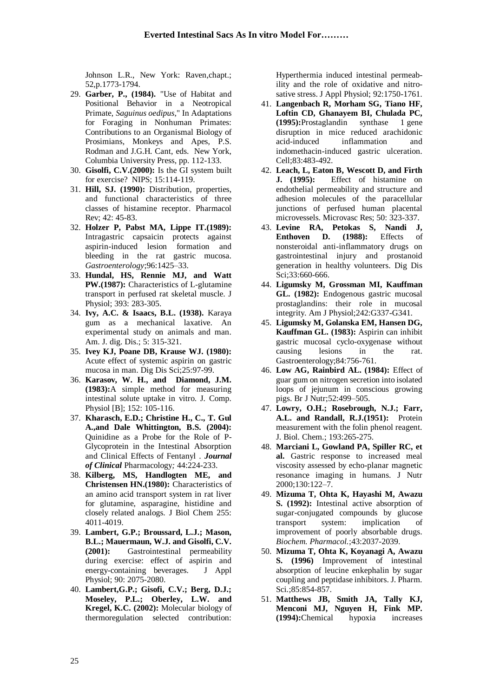Johnson L.R., New York: Raven,chapt.; 52,p.1773-1794.

- 29. **Garber, P., (1984).** "Use of Habitat and Positional Behavior in a Neotropical Primate, *Saguinus oedipus*," In Adaptations for Foraging in Nonhuman Primates: Contributions to an Organismal Biology of Prosimians, Monkeys and Apes, P.S. Rodman and J.G.H. Cant, eds. New York, Columbia University Press, pp. 112-133.
- 30. **Gisolfi, C.V.(2000):** Is the GI system built for exercise? NIPS; 15:114-119.
- 31. **Hill, SJ. (1990):** Distribution, properties, and functional characteristics of three classes of histamine receptor. Pharmacol Rev; 42: 45-83.
- 32. **Holzer P, Pabst MA, Lippe IT.(1989):**  Intragastric capsaicin protects against aspirin-induced lesion formation and bleeding in the rat gastric mucosa. *Gastroenterology*;96:1425–33.
- 33. **Hundal, HS, Rennie MJ, and Watt PW.(1987):** Characteristics of L-glutamine transport in perfused rat skeletal muscle. J Physiol; 393: 283-305.
- 34. **Ivy, A.C. & Isaacs, B.L. (1938).** Karaya gum as a mechanical laxative. An experimental study on animals and man. Am. J. dig. Dis.; 5: 315-321.
- 35. **Ivey KJ, Poane DB, Krause WJ. (1980):** Acute effect of systemic aspirin on gastric mucosa in man. Dig Dis Sci;25:97-99.
- 36. **Karasov, W. H., and Diamond, J.M. (1983):**A simple method for measuring intestinal solute uptake in vitro. J. Comp. Physiol [B]; 152: 105-116.
- 37. **Kharasch, E.D.; Christine H., C., T. Gul A.,and Dale Whittington, B.S. (2004):** Quinidine as a Probe for the Role of P-Glycoprotein in the Intestinal Absorption and Clinical Effects of Fentanyl . *Journal of Clinical* Pharmacology*;* 44:224-233.
- 38. **Kilberg, MS, Handlogten ME, and Christensen HN.(1980):** Characteristics of an amino acid transport system in rat liver for glutamine, asparagine, histidine and closely related analogs. J Biol Chem 255: 4011-4019.
- 39. **Lambert, G.P.; Broussard, L.J.; Mason, B.L.; Mauermaun, W.J. and Gisolfi, C.V. (2001):** Gastrointestinal permeability during exercise: effect of aspirin and energy-containing beverages. J Appl Physiol; 90: 2075-2080.
- 40. **Lambert,G.P.; Gisofi, C.V.; Berg, D.J.; Moseley, P.L.; Oberley, L.W. and Kregel, K.C. (2002):** Molecular biology of thermoregulation selected contribution:

Hyperthermia induced intestinal permeability and the role of oxidative and nitrosative stress. J Appl Physiol; 92:1750-1761.

- 41. **Langenbach R, Morham SG, Tiano HF, Loftin CD, Ghanayem BI, Chulada PC, (1995):**Prostaglandin synthase 1 gene disruption in mice reduced arachidonic acid-induced inflammation and indomethacin-induced gastric ulceration. Cell;83:483-492.
- 42. **Leach, L, Eaton B, Wescott D, and Firth J. (1995):** Effect of histamine on endothelial permeability and structure and adhesion molecules of the paracellular junctions of perfused human placental microvessels. Microvasc Res; 50: 323-337.
- 43. **Levine RA, Petokas S, Nandi J, Enthoven D. (1988):** Effects of nonsteroidal anti-inflammatory drugs on gastrointestinal injury and prostanoid generation in healthy volunteers. Dig Dis Sci;33:660-666.
- 44. **Ligumsky M, Grossman MI, Kauffman GL. (1982):** Endogenous gastric mucosal prostaglandins: their role in mucosal integrity. Am J Physiol;242:G337-G341.
- 45. **Ligumsky M, Golanska EM, Hansen DG, Kauffman GL. (1983):** Aspirin can inhibit gastric mucosal cyclo-oxygenase without causing lesions in the rat. Gastroenterology;84:756-761.
- 46. **Low AG, Rainbird AL. (1984):** Effect of guar gum on nitrogen secretion into isolated loops of jejunum in conscious growing pigs. Br J Nutr;52:499–505.
- 47. **Lowry, O.H.; Rosebrough, N.J.; Farr, A.L. and Randall, R.J.(1951):** Protein measurement with the folin phenol reagent. J. Biol. Chem.; 193:265-275.
- 48. **Marciani L, Gowland PA, Spiller RC, et al.** Gastric response to increased meal viscosity assessed by echo-planar magnetic resonance imaging in humans. J Nutr 2000;130:122–7.
- 49. **Mizuma T, Ohta K, Hayashi M, Awazu S. (1992):** Intestinal active absorption of sugar-conjugated compounds by glucose transport system: implication of improvement of poorly absorbable drugs. *Biochem. Pharmacol.*;43:2037-2039.
- 50. **Mizuma T, Ohta K, Koyanagi A, Awazu S. (1996)** Improvement of intestinal absorption of leucine enkephalin by sugar coupling and peptidase inhibitors. J. Pharm. Sci*.*;85:854-857.
- 51. **Matthews JB, Smith JA, Tally KJ, Menconi MJ, Nguyen H, Fink MP. (1994):**Chemical hypoxia increases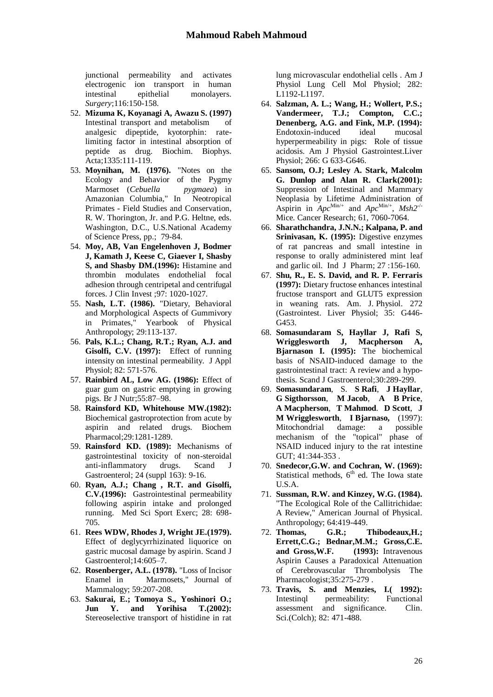junctional permeability and activates electrogenic ion transport in human intestinal epithelial monolayers. *Surgery*;116:150-158.

- 52. **Mizuma K, Koyanagi A, Awazu S. (1997)**  Intestinal transport and metabolism of analgesic dipeptide, kyotorphin: ratelimiting factor in intestinal absorption of peptide as drug. Biochim. Biophys. Acta;1335:111-119.
- 53. **Moynihan, M. (1976).** "Notes on the Ecology and Behavior of the Pygmy Marmoset (*Cebuella pygmaea*) in Amazonian Columbia," In Neotropical Primates - Field Studies and Conservation, R. W. Thorington, Jr. and P.G. Heltne, eds. Washington, D.C., U.S.National Academy of Science Press, pp.; 79-84.
- 54. **Moy, AB, Van Engelenhoven J, Bodmer J, Kamath J, Keese C, Giaever I, Shasby S, and Shasby DM.(1996):** Histamine and thrombin modulates endothelial focal adhesion through centripetal and centrifugal forces. J Clin Invest ;97: 1020-1027.
- 55. **Nash, L.T. (1986).** "Dietary, Behavioral and Morphological Aspects of Gummivory in Primates," Yearbook of Physical Anthropology; 29:113-137.
- 56. **Pals, K.L.; Chang, R.T.; Ryan, A.J. and Gisolfi, C.V. (1997):** Effect of running intensity on intestinal permeability. J Appl Physiol; 82: 571-576.
- 57. **Rainbird AL, Low AG. (1986):** Effect of guar gum on gastric emptying in growing pigs. Br J Nutr;55:87–98.
- 58. **Rainsford KD, Whitehouse MW.(1982):**  Biochemical gastroprotection from acute by aspirin and related drugs. Biochem Pharmacol;29:1281-1289.
- 59. **Rainsford KD. (1989):** Mechanisms of gastrointestinal toxicity of non-steroidal anti-inflammatory drugs. Scand J Gastroenterol; 24 (suppl 163): 9-16.
- 60. **Ryan, A.J.; Chang , R.T. and Gisolfi, C.V.(1996):** Gastrointestinal permeability following aspirin intake and prolonged running. Med Sci Sport Exerc; 28: 698- 705.
- 61. **Rees WDW, Rhodes J, Wright JE.(1979).**  Effect of deglycyrrhizinated liquorice on gastric mucosal damage by aspirin. Scand J Gastroenterol;14:605–7.
- 62. **Rosenberger, A.L. (1978).** "Loss of Incisor Enamel in Marmosets," Journal of Mammalogy; 59:207-208.
- 63. **Sakurai, E.; Tomoya S., Yoshinori O.; Jun Y. and Yorihisa T.(2002):** Stereoselective transport of histidine in rat

lung microvascular endothelial cells . Am J Physiol Lung Cell Mol Physiol; 282: L1192-L1197.

- 64. **Salzman, A. L.; Wang, H.; Wollert, P.S.; Vandermeer, T.J.; Compton, C.C.; Denenberg, A.G. and Fink, M.P. (1994):**  Endotoxin-induced ideal mucosal hyperpermeability in pigs: Role of tissue acidosis. Am J Physiol Gastrointest.Liver Physiol; 266: G 633-G646.
- 65. **Sansom, O.J; Lesley A. Stark, Malcolm G. Dunlop and Alan R. Clark(2001):** Suppression of Intestinal and Mammary Neoplasia by Lifetime Administration of Aspirin in  $Apc^{\text{Min}/+}$  and  $Apc^{\text{Min}/+}$ ,  $Msh2^{-/}$ Mice. Cancer Research; 61, 7060-7064.
- 66. **Sharathchandra, J.N.N.; Kalpana, P. and Srinivasan, K. (1995):** Digestive enzymes of rat pancreas and small intestine in response to orally administered mint leaf and garlic oil. Ind J Pharm; 27 :156-160.
- 67. **Shu, R., E. S. David, and R. P. Ferraris (1997):** Dietary fructose enhances intestinal fructose transport and GLUT5 expression in weaning rats. Am. J. Physiol. 272 (Gastrointest. Liver Physiol; 35: G446- G453.
- 68. **Somasundaram S, Hayllar J, Rafi S, Wrigglesworth J, Macpherson A, Bjarnason I. (1995):** The biochemical basis of NSAID-induced damage to the gastrointestinal tract: A review and a hypothesis. Scand J Gastroenterol;30:289-299.
- 69. **Somasundaram**, S. **S Rafi**, **J Hayllar**, **G Sigthorsson**, **M Jacob**, **A B Price**, **A Macpherson**, **T Mahmod**. **D Scott**, **J M Wrigglesworth**, **I Bjarnaso,** (1997): Mitochondrial damage: a possible mechanism of the "topical" phase of NSAID induced injury to the rat intestine GUT; 41:344-353 .
- 70. **Snedecor,G.W. and Cochran, W. (1969):** Statistical methods,  $6<sup>th</sup>$  ed. The Iowa state U.S.A.
- 71. **Sussman, R.W. and Kinzey, W.G. (1984).**  "The Ecological Role of the Callitrichidae: A Review," American Journal of Physical. Anthropology; 64:419-449.
- 72. **Thomas, G.R.; Thibodeaux,H.; Errett,C.G.; Bednar,M.M.; Gross,C.E. and Gross,W.F. (1993):** Intravenous Aspirin Causes a Paradoxical Attenuation of Cerebrovascular Thrombolysis The Pharmacologist; 35:275-279.
- 73. **Travis, S. and Menzies, I.( 1992):** Intestinql permeability: Functional assessment and significance. Clin. Sci.(Colch); 82: 471-488.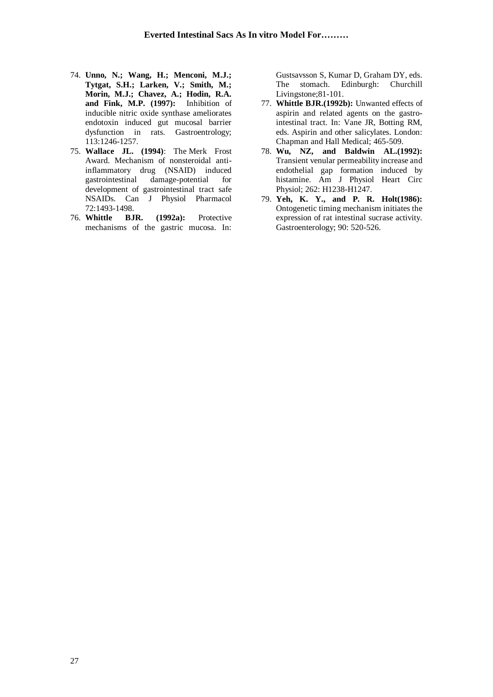- 74. **Unno, N.; Wang, H.; Menconi, M.J.; Tytgat, S.H.; Larken, V.; Smith, M.; Morin, M.J.; Chavez, A.; Hodin, R.A. and Fink, M.P. (1997):** Inhibition of inducible nitric oxide synthase ameliorates endotoxin induced gut mucosal barrier dysfunction in rats. Gastroentrology; 113:1246-1257.
- 75. **Wallace JL. (1994)**: The Merk Frost Award. Mechanism of nonsteroidal antiinflammatory drug (NSAID) induced gastrointestinal damage-potential for development of gastrointestinal tract safe NSAIDs. Can J Physiol Pharmacol 72:1493-1498.
- 76. **Whittle BJR. (1992a):** Protective mechanisms of the gastric mucosa. In:

Gustsavsson S, Kumar D, Graham DY, eds. The stomach*.* Edinburgh: Churchill Livingstone;81-101.

- 77. **Whittle BJR.(1992b):** Unwanted effects of aspirin and related agents on the gastrointestinal tract. In: Vane JR, Botting RM, eds. Aspirin and other salicylates. London: Chapman and Hall Medical; 465-509.
- 78. **Wu, NZ, and Baldwin AL.(1992):** Transient venular permeability increase and endothelial gap formation induced by histamine. Am J Physiol Heart Circ Physiol; 262: H1238-H1247.
- 79. **Yeh, K. Y., and P. R. Holt(1986):**  Ontogenetic timing mechanism initiates the expression of rat intestinal sucrase activity. Gastroenterology; 90: 520-526.